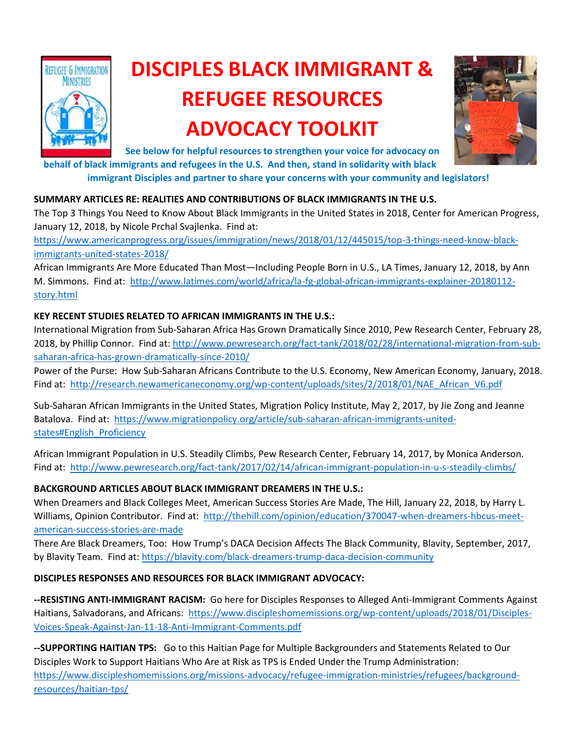

# **DISCIPLES BLACK IMMIGRANT & REFUGEE RESOURCES ADVOCACY TOOLKIT**



**See below for helpful resources to strengthen your voice for advocacy on** 

**behalf of black immigrants and refugees in the U.S. And then, stand in solidarity with black immigrant Disciples and partner to share your concerns with your community and legislators!**

### **SUMMARY ARTICLES RE: REALITIES AND CONTRIBUTIONS OF BLACK IMMIGRANTS IN THE U.S.**

The Top 3 Things You Need to Know About Black Immigrants in the United States in 2018, Center for American Progress, January 12, 2018, by Nicole Prchal Svajlenka. Find at:

[https://www.americanprogress.org/issues/immigration/news/2018/01/12/445015/top-3-things-need-know-black](https://www.americanprogress.org/issues/immigration/news/2018/01/12/445015/top-3-things-need-know-black-immigrants-united-states-2018/)[immigrants-united-states-2018/](https://www.americanprogress.org/issues/immigration/news/2018/01/12/445015/top-3-things-need-know-black-immigrants-united-states-2018/)

African Immigrants Are More Educated Than Most—Including People Born in U.S., LA Times, January 12, 2018, by Ann M. Simmons. Find at: [http://www.latimes.com/world/africa/la-fg-global-african-immigrants-explainer-20180112](http://www.latimes.com/world/africa/la-fg-global-african-immigrants-explainer-20180112-story.html) [story.html](http://www.latimes.com/world/africa/la-fg-global-african-immigrants-explainer-20180112-story.html)

## **KEY RECENT STUDIES RELATED TO AFRICAN IMMIGRANTS IN THE U.S.:**

International Migration from Sub-Saharan Africa Has Grown Dramatically Since 2010, Pew Research Center, February 28, 2018, by Phillip Connor. Find at: [http://www.pewresearch.org/fact-tank/2018/02/28/international-migration-from-sub](http://www.pewresearch.org/fact-tank/2018/02/28/international-migration-from-sub-saharan-africa-has-grown-dramatically-since-2010/)[saharan-africa-has-grown-dramatically-since-2010/](http://www.pewresearch.org/fact-tank/2018/02/28/international-migration-from-sub-saharan-africa-has-grown-dramatically-since-2010/)

Power of the Purse: How Sub-Saharan Africans Contribute to the U.S. Economy, New American Economy, January, 2018. Find at: [http://research.newamericaneconomy.org/wp-content/uploads/sites/2/2018/01/NAE\\_African\\_V6.pdf](http://research.newamericaneconomy.org/wp-content/uploads/sites/2/2018/01/NAE_African_V6.pdf)

Sub-Saharan African Immigrants in the United States, Migration Policy Institute, May 2, 2017, by Jie Zong and Jeanne Batalova. Find at: [https://www.migrationpolicy.org/article/sub-saharan-african-immigrants-united](https://www.migrationpolicy.org/article/sub-saharan-african-immigrants-united-states#English_Proficiency)[states#English\\_Proficiency](https://www.migrationpolicy.org/article/sub-saharan-african-immigrants-united-states#English_Proficiency)

African Immigrant Population in U.S. Steadily Climbs, Pew Research Center, February 14, 2017, by Monica Anderson. Find at:<http://www.pewresearch.org/fact-tank/2017/02/14/african-immigrant-population-in-u-s-steadily-climbs/>

## **BACKGROUND ARTICLES ABOUT BLACK IMMIGRANT DREAMERS IN THE U.S.:**

When Dreamers and Black Colleges Meet, American Success Stories Are Made, The Hill, January 22, 2018, by Harry L. Williams, Opinion Contributor. Find at: [http://thehill.com/opinion/education/370047-when-dreamers-hbcus-meet](http://thehill.com/opinion/education/370047-when-dreamers-hbcus-meet-american-success-stories-are-made)[american-success-stories-are-made](http://thehill.com/opinion/education/370047-when-dreamers-hbcus-meet-american-success-stories-are-made)

There Are Black Dreamers, Too: How Trump's DACA Decision Affects The Black Community, Blavity, September, 2017, by Blavity Team. Find at:<https://blavity.com/black-dreamers-trump-daca-decision-community>

### **DISCIPLES RESPONSES AND RESOURCES FOR BLACK IMMIGRANT ADVOCACY:**

**--RESISTING ANTI-IMMIGRANT RACISM:** Go here for Disciples Responses to Alleged Anti-Immigrant Comments Against Haitians, Salvadorans, and Africans: [https://www.discipleshomemissions.org/wp-content/uploads/2018/01/Disciples-](https://www.discipleshomemissions.org/wp-content/uploads/2018/01/Disciples-Voices-Speak-Against-Jan-11-18-Anti-Immigrant-Comments.pdf)[Voices-Speak-Against-Jan-11-18-Anti-Immigrant-Comments.pdf](https://www.discipleshomemissions.org/wp-content/uploads/2018/01/Disciples-Voices-Speak-Against-Jan-11-18-Anti-Immigrant-Comments.pdf) 

**--SUPPORTING HAITIAN TPS:** Go to this Haitian Page for Multiple Backgrounders and Statements Related to Our Disciples Work to Support Haitians Who Are at Risk as TPS is Ended Under the Trump Administration: [https://www.discipleshomemissions.org/missions-advocacy/refugee-immigration-ministries/refugees/background](https://www.discipleshomemissions.org/missions-advocacy/refugee-immigration-ministries/refugees/background-resources/haitian-tps/)[resources/haitian-tps/](https://www.discipleshomemissions.org/missions-advocacy/refugee-immigration-ministries/refugees/background-resources/haitian-tps/)